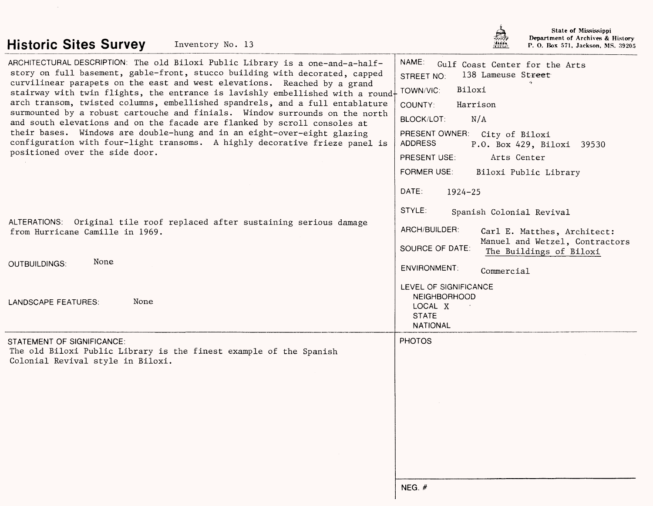## **Historic Sites Survey** Inventory No. 13 **Department of Archives & History P. O. Box 571, Jackson, MS. 39205** ARCHITECTURAL DESCRIPTION: The old Biloxi Public Library is a one-and-a-halfstory on full basement, gable-front, stucco building with decorated, capped curvilinear parapets on the east and west elevations. Reached by a grand stairway with twin flights, the entrance is lavishly embellished with a round arch transom, twisted columns, embellished spandrels, and a full entablature surmounted by a robust cartouche and finials. Window surrounds on the north and south elevations and on the facade are flanked by scroll consoles at their bases. Windows are double-hung and in an eight-over-eight glazing configuration with four-light transoms. A highly decorative frieze panel is positioned over the side door. ALTERATIONS: Original tile roof replaced after sustaining serious damage from Hurricane Camille in 1969. OUTBUILDINGS: None LANDSCAPE FEATURES: None STATEMENT OF SIGNIFICANCE: The old Biloxi Public Library is the finest example of the Spanish Colonial Revival style in Biloxi. NAME: Gulf Coast center for the Arts STREET NO: 138 Lameuse Street TOWN/VIC: Biloxi COUNTY: Harrison BLOCK/LOT: N/A PRESENT OWNER: City of Biloxi ADDRESS p.o. Box 429, Biloxi 39530 PRESENT USE: Arts Center FORMER USE: Biloxi Public Library DATE: 1924-25 STYLE: Spanish Colonial Revival ARCH/BUILDER: SOURCE OF DATE: ENVIRONMENT: Carl E. Matthes, Architect: Manuel and Wetzel, Contractors The Buildings of Biloxi Commercial LEVEL OF SIGNIFICANCE **NEIGHBORHOOD** LOCAL X **STATE NATIONAL PHOTOS**

**State of Mississippi**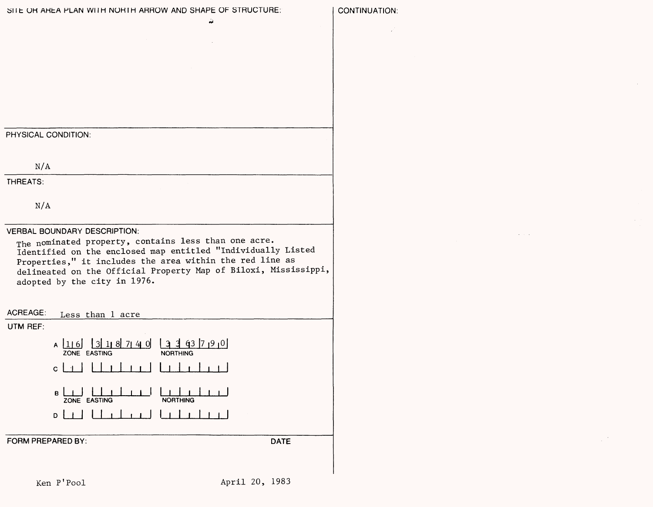| SITE OR AREA PLAN WITH NORTH ARROW AND SHAPE OF STRUCTURE: |  |  |
|------------------------------------------------------------|--|--|
|------------------------------------------------------------|--|--|

**CONTINUATION:**

| PHYSICAL CONDITION: |  |
|---------------------|--|
|---------------------|--|

N/A

**THREATS:**

N/A

**VERBAL BOUNDARY DESCRIPTION:**

The nominated property, contains less than one acre. Identified on the enclosed map entitled "Individually Listed Properties," it includes the area within the red line as delineated on the Official Property Map of Biloxi, Mississippi, adopted by the city in 1976.

ACREAGE: Less than 1 acre

|  | UTM REF: |
|--|----------|
|--|----------|

| 1 6 <br>A<br>ZONE EASTING | $\begin{bmatrix} 3 & 1 & 8 & 7 & 4 & 0 \end{bmatrix}$ $\begin{bmatrix} 3 & 3 & 6 & 7 & 8 \end{bmatrix}$<br><b>NORTHING</b> |             |
|---------------------------|----------------------------------------------------------------------------------------------------------------------------|-------------|
| $c + 4$                   | $\mathbf{1}$ and $\mathbf{1}$                                                                                              |             |
| B<br>ZONE EASTING         | <b>NORTHING</b>                                                                                                            |             |
| D                         | $\mathbf{1}$ and $\mathbf{1}$                                                                                              |             |
| <b>FORM PREPARED BY:</b>  |                                                                                                                            | <b>DATE</b> |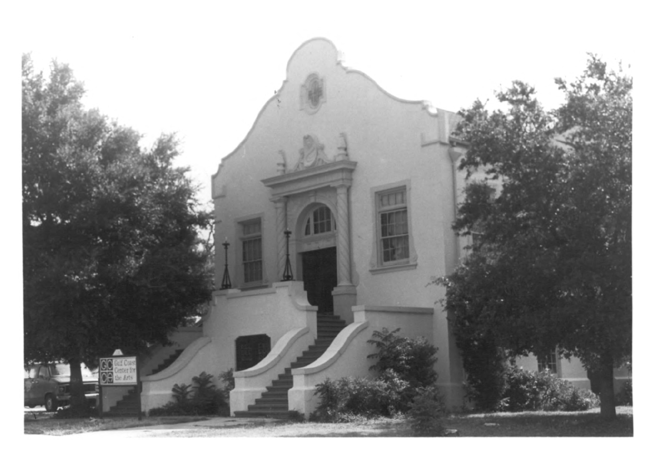